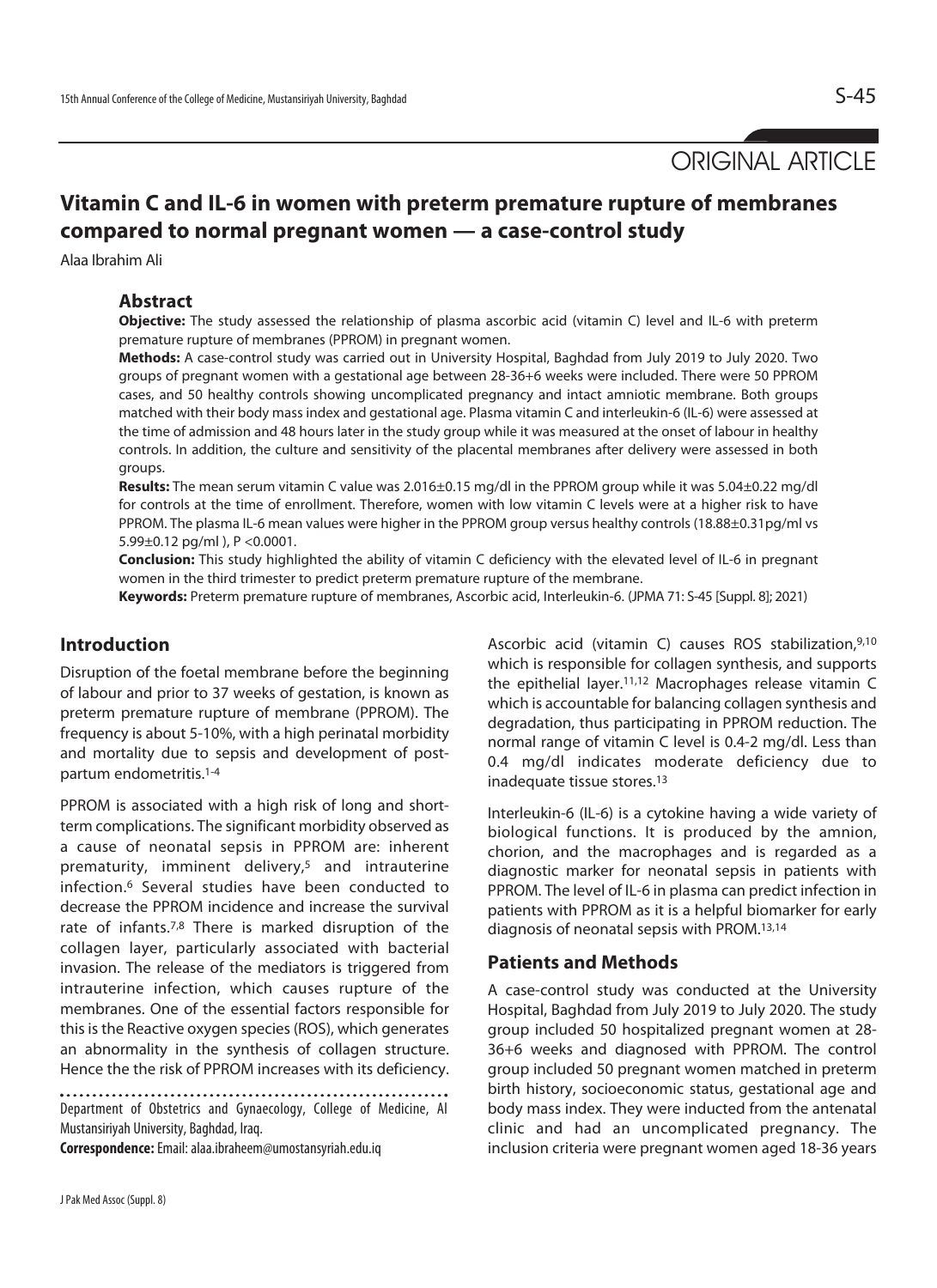ORIGINAL ARTICLE

# **Vitamin C and IL-6 in women with preterm premature rupture of membranes compared to normal pregnant women — a case-control study**

Alaa Ibrahim Ali

#### **Abstract**

**Objective:** The study assessed the relationship of plasma ascorbic acid (vitamin C) level and IL-6 with preterm premature rupture of membranes (PPROM) in pregnant women.

**Methods:** A case-control study was carried out in University Hospital, Baghdad from July 2019 to July 2020. Two groups of pregnant women with a gestational age between 28-36+6 weeks were included. There were 50 PPROM cases, and 50 healthy controls showing uncomplicated pregnancy and intact amniotic membrane. Both groups matched with their body mass index and gestational age. Plasma vitamin C and interleukin-6 (IL-6) were assessed at the time of admission and 48 hours later in the study group while it was measured at the onset of labour in healthy controls. In addition, the culture and sensitivity of the placental membranes after delivery were assessed in both groups.

**Results:** The mean serum vitamin C value was 2.016±0.15 mg/dl in the PPROM group while it was 5.04±0.22 mg/dl for controls at the time of enrollment. Therefore, women with low vitamin C levels were at a higher risk to have PPROM. The plasma IL-6 mean values were higher in the PPROM group versus healthy controls (18.88±0.31pg/ml vs 5.99±0.12 pg/ml ), P <0.0001.

**Conclusion:** This study highlighted the ability of vitamin C deficiency with the elevated level of IL-6 in pregnant women in the third trimester to predict preterm premature rupture of the membrane.

**Keywords:** Preterm premature rupture of membranes, Ascorbic acid, Interleukin-6. (JPMA 71: S-45 [Suppl. 8]; 2021)

# **Introduction**

Disruption of the foetal membrane before the beginning of labour and prior to 37 weeks of gestation, is known as preterm premature rupture of membrane (PPROM). The frequency is about 5-10%, with a high perinatal morbidity and mortality due to sepsis and development of postpartum endometritis.1-4

PPROM is associated with a high risk of long and shortterm complications. The significant morbidity observed as a cause of neonatal sepsis in PPROM are: inherent prematurity, imminent delivery,5 and intrauterine infection.6 Several studies have been conducted to decrease the PPROM incidence and increase the survival rate of infants.7,8 There is marked disruption of the collagen layer, particularly associated with bacterial invasion. The release of the mediators is triggered from intrauterine infection, which causes rupture of the membranes. One of the essential factors responsible for this is the Reactive oxygen species (ROS), which generates an abnormality in the synthesis of collagen structure. Hence the the risk of PPROM increases with its deficiency.

Department of Obstetrics and Gynaecology, College of Medicine, Al Mustansiriyah University, Baghdad, Iraq.

**Correspondence:** Email: alaa.ibraheem@umostansyriah.edu.iq

Ascorbic acid (vitamin C) causes ROS stabilization,9,10 which is responsible for collagen synthesis, and supports the epithelial layer.11,12 Macrophages release vitamin C which is accountable for balancing collagen synthesis and degradation, thus participating in PPROM reduction. The normal range of vitamin C level is 0.4-2 mg/dl. Less than 0.4 mg/dl indicates moderate deficiency due to inadequate tissue stores.13

Interleukin-6 (IL-6) is a cytokine having a wide variety of biological functions. It is produced by the amnion, chorion, and the macrophages and is regarded as a diagnostic marker for neonatal sepsis in patients with PPROM. The level of IL-6 in plasma can predict infection in patients with PPROM as it is a helpful biomarker for early diagnosis of neonatal sepsis with PROM.13,14

#### **Patients and Methods**

A case-control study was conducted at the University Hospital, Baghdad from July 2019 to July 2020. The study group included 50 hospitalized pregnant women at 28- 36+6 weeks and diagnosed with PPROM. The control group included 50 pregnant women matched in preterm birth history, socioeconomic status, gestational age and body mass index. They were inducted from the antenatal clinic and had an uncomplicated pregnancy. The inclusion criteria were pregnant women aged 18-36 years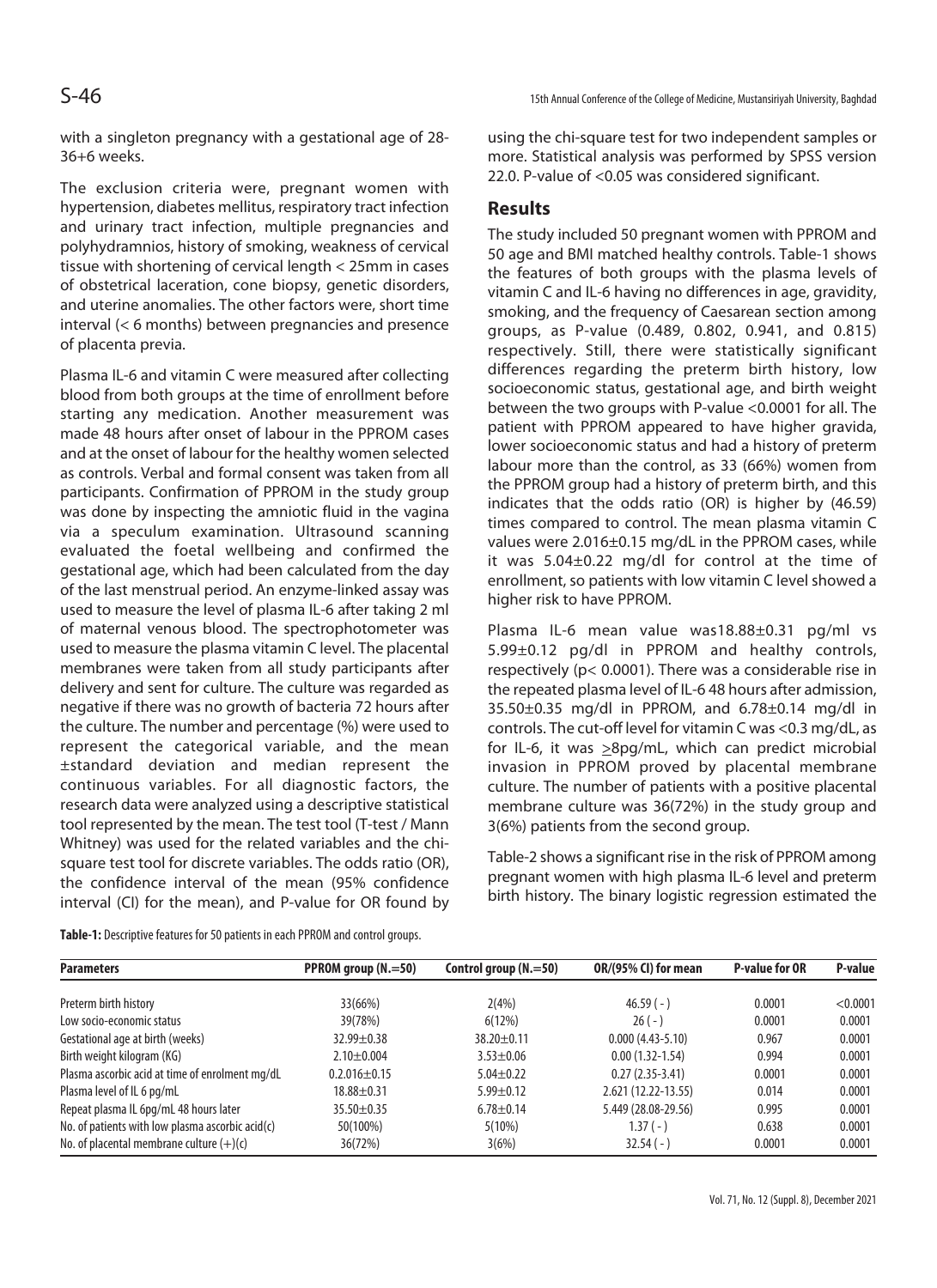with a singleton pregnancy with a gestational age of 28- 36+6 weeks.

The exclusion criteria were, pregnant women with hypertension, diabetes mellitus, respiratory tract infection and urinary tract infection, multiple pregnancies and polyhydramnios, history of smoking, weakness of cervical tissue with shortening of cervical length < 25mm in cases of obstetrical laceration, cone biopsy, genetic disorders, and uterine anomalies. The other factors were, short time interval (< 6 months) between pregnancies and presence of placenta previa.

Plasma IL-6 and vitamin C were measured after collecting blood from both groups at the time of enrollment before starting any medication. Another measurement was made 48 hours after onset of labour in the PPROM cases and at the onset of labour for the healthy women selected as controls. Verbal and formal consent was taken from all participants. Confirmation of PPROM in the study group was done by inspecting the amniotic fluid in the vagina via a speculum examination. Ultrasound scanning evaluated the foetal wellbeing and confirmed the gestational age, which had been calculated from the day of the last menstrual period. An enzyme-linked assay was used to measure the level of plasma IL-6 after taking 2 ml of maternal venous blood. The spectrophotometer was used to measure the plasma vitamin C level. The placental membranes were taken from all study participants after delivery and sent for culture. The culture was regarded as negative if there was no growth of bacteria 72 hours after the culture. The number and percentage (%) were used to represent the categorical variable, and the mean ±standard deviation and median represent the continuous variables. For all diagnostic factors, the research data were analyzed using a descriptive statistical tool represented by the mean. The test tool (T-test / Mann Whitney) was used for the related variables and the chisquare test tool for discrete variables. The odds ratio (OR), the confidence interval of the mean (95% confidence interval (CI) for the mean), and P-value for OR found by

**Table-1:** Descriptive features for 50 patients in each PPROM and control groups.

using the chi-square test for two independent samples or more. Statistical analysis was performed by SPSS version 22.0. P-value of <0.05 was considered significant.

### **Results**

The study included 50 pregnant women with PPROM and 50 age and BMI matched healthy controls. Table-1 shows the features of both groups with the plasma levels of vitamin C and IL-6 having no differences in age, gravidity, smoking, and the frequency of Caesarean section among groups, as P-value (0.489, 0.802, 0.941, and 0.815) respectively. Still, there were statistically significant differences regarding the preterm birth history, low socioeconomic status, gestational age, and birth weight between the two groups with P-value <0.0001 for all. The patient with PPROM appeared to have higher gravida, lower socioeconomic status and had a history of preterm labour more than the control, as 33 (66%) women from the PPROM group had a history of preterm birth, and this indicates that the odds ratio (OR) is higher by (46.59) times compared to control. The mean plasma vitamin C values were 2.016±0.15 mg/dL in the PPROM cases, while it was 5.04±0.22 mg/dl for control at the time of enrollment, so patients with low vitamin C level showed a higher risk to have PPROM.

Plasma IL-6 mean value was18.88±0.31 pg/ml vs 5.99±0.12 pg/dl in PPROM and healthy controls, respectively (p< 0.0001). There was a considerable rise in the repeated plasma level of IL-6 48 hours after admission, 35.50±0.35 mg/dl in PPROM, and 6.78±0.14 mg/dl in controls. The cut-off level for vitamin C was <0.3 mg/dL, as for IL-6, it was  $\geq$ 8pg/mL, which can predict microbial invasion in PPROM proved by placental membrane culture. The number of patients with a positive placental membrane culture was 36(72%) in the study group and 3(6%) patients from the second group.

Table-2 shows a significant rise in the risk of PPROM among pregnant women with high plasma IL-6 level and preterm birth history. The binary logistic regression estimated the

| <b>Parameters</b>                                         | PPROM group (N.=50) | Control group (N.=50) | OR/(95% CI) for mean | <b>P-value for OR</b> | P-value  |
|-----------------------------------------------------------|---------------------|-----------------------|----------------------|-----------------------|----------|
| Preterm birth history                                     | 33(66%)             | 2(4%)                 | $46.59(-)$           | 0.0001                | < 0.0001 |
| Low socio-economic status                                 | 39(78%)             | 6(12%)                | $26(-)$              | 0.0001                | 0.0001   |
| Gestational age at birth (weeks)                          | $32.99 + 0.38$      | $38.20 \pm 0.11$      | $0.000(4.43 - 5.10)$ | 0.967                 | 0.0001   |
| Birth weight kilogram (KG)                                | $2.10+0.004$        | $3.53 \pm 0.06$       | $0.00(1.32 - 1.54)$  | 0.994                 | 0.0001   |
| Plasma ascorbic acid at time of enrolment mg/dL           | $0.2.016 \pm 0.15$  | $5.04 \pm 0.22$       | $0.27(2.35-3.41)$    | 0.0001                | 0.0001   |
| Plasma level of IL 6 pg/mL                                | $18.88 \pm 0.31$    | $5.99 \pm 0.12$       | 2.621 (12.22-13.55)  | 0.014                 | 0.0001   |
| Repeat plasma IL 6pg/mL 48 hours later                    | $35.50 + 0.35$      | $6.78 \pm 0.14$       | 5.449 (28.08-29.56)  | 0.995                 | 0.0001   |
| No. of patients with low plasma ascorbic $\text{acid}(c)$ | 50(100%)            | 5(10%)                | $1.37(-)$            | 0.638                 | 0.0001   |
| No. of placental membrane culture $(+)$ (c)               | 36(72%)             | 3(6%)                 | $32.54(-)$           | 0.0001                | 0.0001   |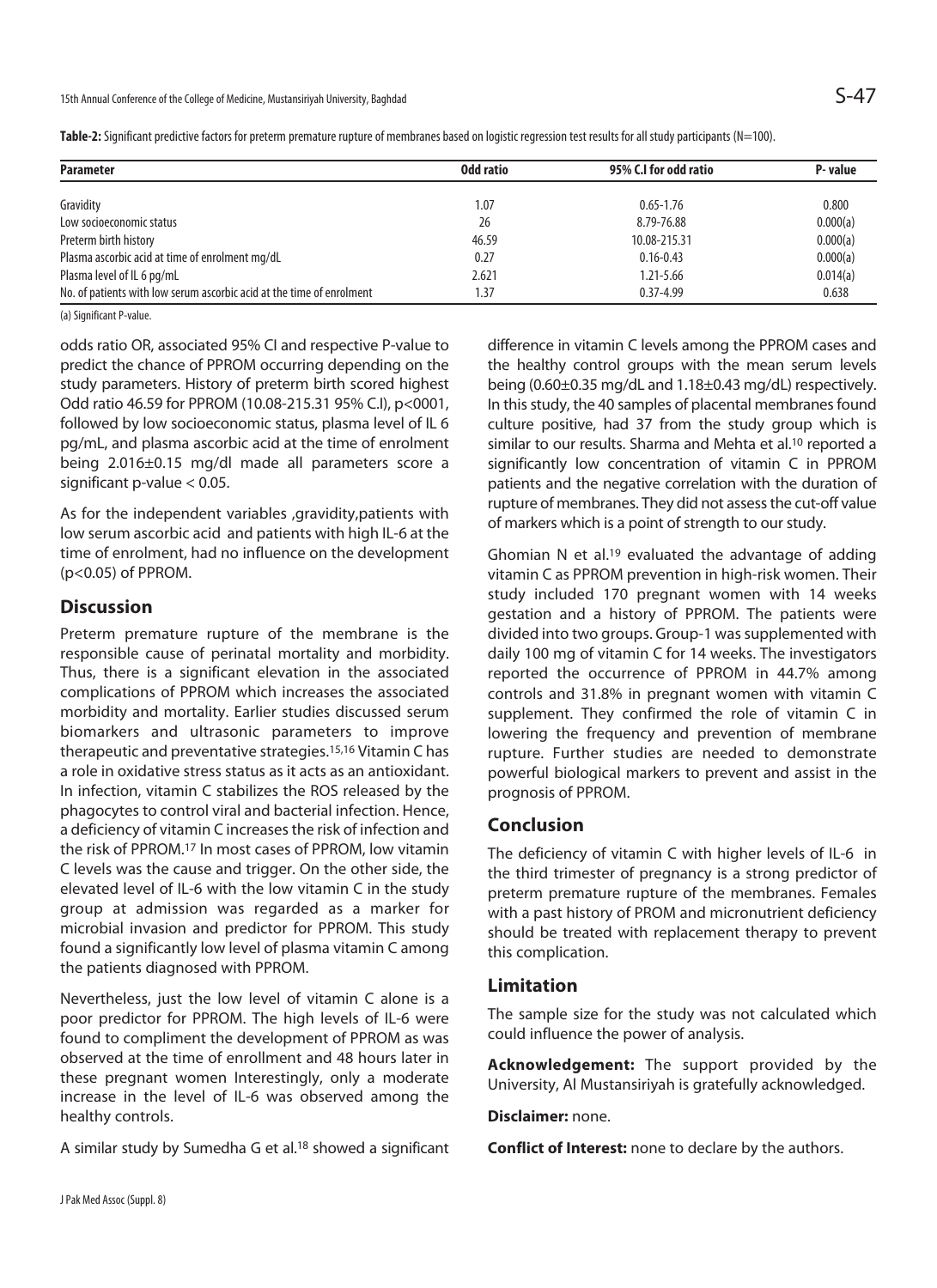**Table-2:** Significant predictive factors for preterm premature rupture of membranes based on logistic regression test results for all study participants (N=100).

| <b>Parameter</b>                                                      | Odd ratio | 95% C.I for odd ratio | P-value  |  |
|-----------------------------------------------------------------------|-----------|-----------------------|----------|--|
| Gravidity                                                             | 1.07      | $0.65 - 1.76$         | 0.800    |  |
| Low socioeconomic status                                              | 26        | 8.79-76.88            | 0.000(a) |  |
| Preterm birth history                                                 | 46.59     | 10.08-215.31          | 0.000(a) |  |
| Plasma ascorbic acid at time of enrolment mg/dL                       | 0.27      | $0.16 - 0.43$         | 0.000(a) |  |
| Plasma level of IL 6 pg/mL                                            | 2.621     | $1.21 - 5.66$         | 0.014(a) |  |
| No. of patients with low serum ascorbic acid at the time of enrolment | 1.37      | $0.37 - 4.99$         | 0.638    |  |

(a) Significant P-value.

odds ratio OR, associated 95% CI and respective P-value to predict the chance of PPROM occurring depending on the study parameters. History of preterm birth scored highest Odd ratio 46.59 for PPROM (10.08-215.31 95% C.I), p<0001, followed by low socioeconomic status, plasma level of IL 6 pg/mL, and plasma ascorbic acid at the time of enrolment being 2.016±0.15 mg/dl made all parameters score a significant p-value < 0.05.

As for the independent variables ,gravidity,patients with low serum ascorbic acid and patients with high IL-6 at the time of enrolment, had no influence on the development (p<0.05) of PPROM.

## **Discussion**

Preterm premature rupture of the membrane is the responsible cause of perinatal mortality and morbidity. Thus, there is a significant elevation in the associated complications of PPROM which increases the associated morbidity and mortality. Earlier studies discussed serum biomarkers and ultrasonic parameters to improve therapeutic and preventative strategies.15,16 Vitamin C has a role in oxidative stress status as it acts as an antioxidant. In infection, vitamin C stabilizes the ROS released by the phagocytes to control viral and bacterial infection. Hence, a deficiency of vitamin C increases the risk of infection and the risk of PPROM.17 In most cases of PPROM, low vitamin C levels was the cause and trigger. On the other side, the elevated level of IL-6 with the low vitamin C in the study group at admission was regarded as a marker for microbial invasion and predictor for PPROM. This study found a significantly low level of plasma vitamin C among the patients diagnosed with PPROM.

Nevertheless, just the low level of vitamin C alone is a poor predictor for PPROM. The high levels of IL-6 were found to compliment the development of PPROM as was observed at the time of enrollment and 48 hours later in these pregnant women Interestingly, only a moderate increase in the level of IL-6 was observed among the healthy controls.

A similar study by Sumedha G et al.18 showed a significant

difference in vitamin C levels among the PPROM cases and the healthy control groups with the mean serum levels being (0.60±0.35 mg/dL and 1.18±0.43 mg/dL) respectively. In this study, the 40 samples of placental membranes found culture positive, had 37 from the study group which is similar to our results. Sharma and Mehta et al.<sup>10</sup> reported a significantly low concentration of vitamin C in PPROM patients and the negative correlation with the duration of rupture of membranes. They did not assess the cut-off value of markers which is a point of strength to our study.

Ghomian N et al.19 evaluated the advantage of adding vitamin C as PPROM prevention in high-risk women. Their study included 170 pregnant women with 14 weeks gestation and a history of PPROM. The patients were divided into two groups. Group-1 was supplemented with daily 100 mg of vitamin C for 14 weeks. The investigators reported the occurrence of PPROM in 44.7% among controls and 31.8% in pregnant women with vitamin C supplement. They confirmed the role of vitamin C in lowering the frequency and prevention of membrane rupture. Further studies are needed to demonstrate powerful biological markers to prevent and assist in the prognosis of PPROM.

### **Conclusion**

The deficiency of vitamin C with higher levels of IL-6 in the third trimester of pregnancy is a strong predictor of preterm premature rupture of the membranes. Females with a past history of PROM and micronutrient deficiency should be treated with replacement therapy to prevent this complication.

# **Limitation**

The sample size for the study was not calculated which could influence the power of analysis.

**Acknowledgement:** The support provided by the University, Al Mustansiriyah is gratefully acknowledged.

#### **Disclaimer:** none.

**Conflict of Interest:** none to declare by the authors.